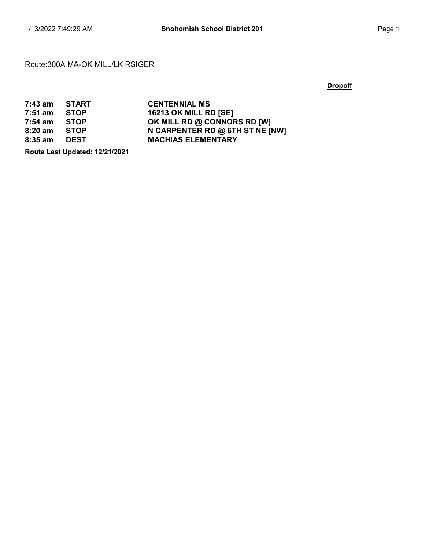#### Route:300A MA-OK MILL/LK RSIGER

#### **Dropoff**

| $7:43$ am | START       | <b>CENTENNIAL MS</b>            |
|-----------|-------------|---------------------------------|
| $7:51$ am | <b>STOP</b> | <b>16213 OK MILL RD [SE]</b>    |
| $7:54$ am | <b>STOP</b> | OK MILL RD @ CONNORS RD [W]     |
| $8:20$ am | <b>STOP</b> | N CARPENTER RD @ 6TH ST NE [NW] |
| $8:35$ am | <b>DEST</b> | <b>MACHIAS ELEMENTARY</b>       |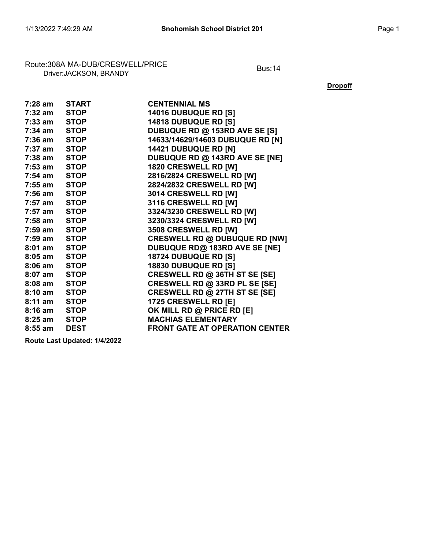# Route:308A MA-DUB/CRESWELL/PRICE<br>Driver:JACKSON, BRANDY

**Dropoff** 

| 7:28 am START |             | <b>CENTENNIAL MS</b>                  |
|---------------|-------------|---------------------------------------|
| 7:32 am       | <b>STOP</b> | <b>14016 DUBUQUE RD [S]</b>           |
| 7:33 am       | <b>STOP</b> | 14818 DUBUQUE RD [S]                  |
| 7:34 am       | <b>STOP</b> | DUBUQUE RD @ 153RD AVE SE [S]         |
| 7:36 am       | <b>STOP</b> | 14633/14629/14603 DUBUQUE RD [N]      |
| 7:37 am STOP  |             | <b>14421 DUBUQUE RD [N]</b>           |
| 7:38 am STOP  |             | DUBUQUE RD @ 143RD AVE SE [NE]        |
| 7:53 am STOP  |             | 1820 CRESWELL RD [W]                  |
| 7:54 am       | <b>STOP</b> | 2816/2824 CRESWELL RD [W]             |
| 7:55 am       | <b>STOP</b> | 2824/2832 CRESWELL RD [W]             |
| 7:56 am       | <b>STOP</b> | 3014 CRESWELL RD [W]                  |
| 7:57 am STOP  |             | 3116 CRESWELL RD [W]                  |
| 7:57 am STOP  |             | 3324/3230 CRESWELL RD [W]             |
| 7:58 am STOP  |             | 3230/3324 CRESWELL RD [W]             |
| 7:59 am STOP  |             | 3508 CRESWELL RD [W]                  |
| 7:59 am       | <b>STOP</b> | <b>CRESWELL RD @ DUBUQUE RD [NW]</b>  |
| 8:01 am       | <b>STOP</b> | DUBUQUE RD@ 183RD AVE SE [NE]         |
| 8:05 am       | <b>STOP</b> | 18724 DUBUQUE RD [S]                  |
| 8:06 am STOP  |             | <b>18830 DUBUQUE RD [S]</b>           |
| 8:07 am STOP  |             | CRESWELL RD @ 36TH ST SE [SE]         |
| 8:08 am       | <b>STOP</b> | CRESWELL RD @ 33RD PL SE [SE]         |
| 8:10 am       | <b>STOP</b> | CRESWELL RD @ 27TH ST SE [SE]         |
| $8:11$ am     | <b>STOP</b> | 1725 CRESWELL RD [E]                  |
| $8:16$ am     | <b>STOP</b> | OK MILL RD @ PRICE RD [E]             |
| 8:25 am       | <b>STOP</b> | <b>MACHIAS ELEMENTARY</b>             |
| $8:55$ am     | <b>DEST</b> | <b>FRONT GATE AT OPERATION CENTER</b> |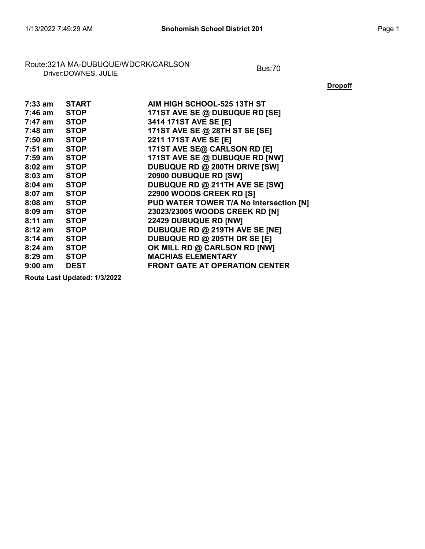# Route:321A MA-DUBUQUE/WDCRK/CARLSON Bus:70 Driver:DOWNES, JULIE

**Dropoff** 

| 7:33 am           | <b>START</b> | AIM HIGH SCHOOL-525 13TH ST             |
|-------------------|--------------|-----------------------------------------|
| 7:46 am           | <b>STOP</b>  | 171ST AVE SE @ DUBUQUE RD [SE]          |
| 7:47 am STOP      |              | 3414 171ST AVE SE [E]                   |
| $7:48$ am $STOP$  |              | 171ST AVE SE @ 28TH ST SE [SE]          |
| 7:50 am           | <b>STOP</b>  | 2211 171ST AVE SE [E]                   |
| $7:51$ am         | <b>STOP</b>  | 171ST AVE SE@ CARLSON RD [E]            |
| 7:59 am           | <b>STOP</b>  | 171ST AVE SE @ DUBUQUE RD [NW]          |
| 8:02 am           | <b>STOP</b>  | DUBUQUE RD @ 200TH DRIVE [SW]           |
| 8:03 am           | <b>STOP</b>  | 20900 DUBUQUE RD [SW]                   |
| 8:04 am STOP      |              | DUBUQUE RD @ 211TH AVE SE [SW]          |
| 8:07 am STOP      |              | 22900 WOODS CREEK RD [S]                |
| 8:08 am STOP      |              | PUD WATER TOWER T/A No Intersection [N] |
| 8:09 am STOP      |              | 23023/23005 WOODS CREEK RD [N]          |
| $8:11$ am         | STOP         | 22429 DUBUQUE RD [NW]                   |
| 8:12 am           | <b>STOP</b>  | DUBUQUE RD @ 219TH AVE SE [NE]          |
| 8:14 am           | <b>STOP</b>  | DUBUQUE RD @ 205TH DR SE [E]            |
| 8:24 am STOP      |              | OK MILL RD @ CARLSON RD [NW]            |
| 8:29 am STOP      |              | <b>MACHIAS ELEMENTARY</b>               |
| $9:00 \text{ am}$ | <b>DEST</b>  | <b>FRONT GATE AT OPERATION CENTER</b>   |
|                   |              |                                         |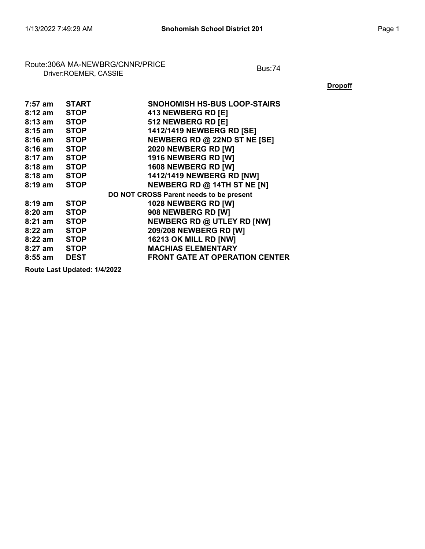# Route:306A MA-NEWBRG/CNNR/PRICE<br>Driver:ROEMER, CASSIE

**Dropoff** 

| 7:57 am           | <b>START</b> | <b>SNOHOMISH HS-BUS LOOP-STAIRS</b>     |
|-------------------|--------------|-----------------------------------------|
| $8:12 \text{ am}$ | <b>STOP</b>  | 413 NEWBERG RD [E]                      |
| $8:13$ am         | <b>STOP</b>  | 512 NEWBERG RD [E]                      |
| $8:15$ am         | <b>STOP</b>  | 1412/1419 NEWBERG RD [SE]               |
| $8:16$ am         | <b>STOP</b>  | NEWBERG RD @ 22ND ST NE [SE]            |
| $8:16$ am         | <b>STOP</b>  | 2020 NEWBERG RD [W]                     |
| $8:17$ am         | <b>STOP</b>  | 1916 NEWBERG RD [W]                     |
| $8:18$ am         | <b>STOP</b>  | 1608 NEWBERG RD [W]                     |
| $8:18$ am         | <b>STOP</b>  | <b>1412/1419 NEWBERG RD [NW]</b>        |
| $8:19 \text{ am}$ | <b>STOP</b>  | NEWBERG RD @ 14TH ST NE [N]             |
|                   |              | DO NOT CROSS Parent needs to be present |
| $8:19 \text{ am}$ | <b>STOP</b>  | 1028 NEWBERG RD [W]                     |
| 8:20 am           | <b>STOP</b>  | 908 NEWBERG RD [W]                      |
| 8:21 am           | <b>STOP</b>  | <b>NEWBERG RD @ UTLEY RD [NW]</b>       |
| $8:22$ am         | <b>STOP</b>  | 209/208 NEWBERG RD [W]                  |
| $8:22$ am         | <b>STOP</b>  | 16213 OK MILL RD [NW]                   |
| 8:27 am           | <b>STOP</b>  | <b>MACHIAS ELEMENTARY</b>               |
| $8:55$ am         | <b>DEST</b>  | <b>FRONT GATE AT OPERATION CENTER</b>   |
|                   |              |                                         |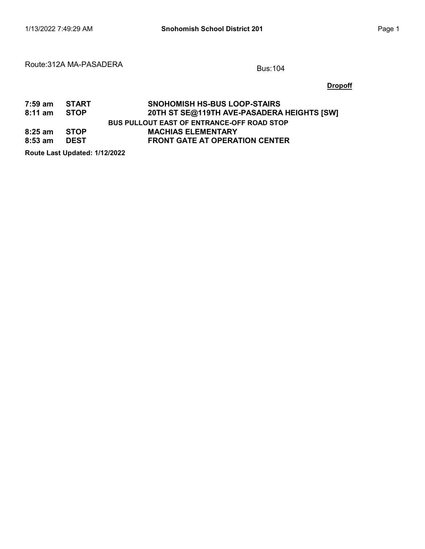#### Route:312A MA-PASADERA Bus:104

**Dropoff** 

| 7:59 am START |             | <b>SNOHOMISH HS-BUS LOOP-STAIRS</b>        |
|---------------|-------------|--------------------------------------------|
| 8:11 am STOP  |             | 20TH ST SE@119TH AVE-PASADERA HEIGHTS [SW] |
|               |             | BUS PULLOUT EAST OF ENTRANCE-OFF ROAD STOP |
| 8:25 am STOP  |             | <b>MACHIAS ELEMENTARY</b>                  |
| 8:53 am       | <b>DEST</b> | <b>FRONT GATE AT OPERATION CENTER</b>      |
|               |             |                                            |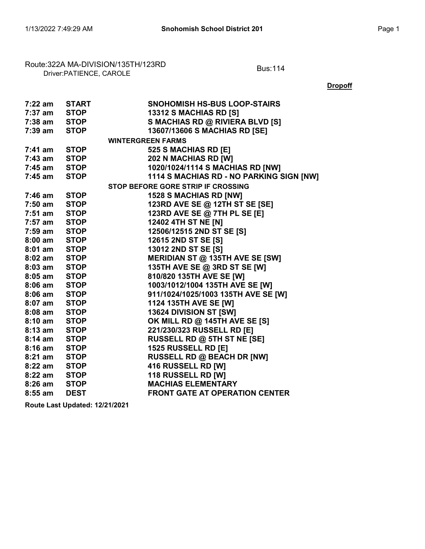Route:322A MA-DIVISION/135TH/123RD<br>Driver:PATIENCE, CAROLE

**Dropoff** 

| 7:22 am      | <b>START</b> | <b>SNOHOMISH HS-BUS LOOP-STAIRS</b>      |
|--------------|--------------|------------------------------------------|
| 7:37 am      | <b>STOP</b>  | 13312 S MACHIAS RD [S]                   |
| 7:38 am      | <b>STOP</b>  | S MACHIAS RD @ RIVIERA BLVD [S]          |
| 7:39 am      | <b>STOP</b>  | 13607/13606 S MACHIAS RD [SE]            |
|              |              | <b>WINTERGREEN FARMS</b>                 |
| 7:41 am      | <b>STOP</b>  | 525 S MACHIAS RD [E]                     |
| 7:43 am      | <b>STOP</b>  | 202 N MACHIAS RD [W]                     |
| 7:45 am      | <b>STOP</b>  | 1020/1024/1114 S MACHIAS RD [NW]         |
| 7:45 am      | <b>STOP</b>  | 1114 S MACHIAS RD - NO PARKING SIGN [NW] |
|              |              | STOP BEFORE GORE STRIP IF CROSSING       |
| 7:46 am      | <b>STOP</b>  | <b>1528 S MACHIAS RD [NW]</b>            |
| 7:50 am      | <b>STOP</b>  | 123RD AVE SE @ 12TH ST SE [SE]           |
| 7:51 am      | <b>STOP</b>  | 123RD AVE SE @ 7TH PL SE [E]             |
| 7:57 am      | <b>STOP</b>  | 12402 4TH ST NE [N]                      |
| 7:59 am STOP |              | 12506/12515 2ND ST SE [S]                |
| 8:00 am STOP |              | 12615 2ND ST SE [S]                      |
| 8:01 am STOP |              | 13012 2ND ST SE [S]                      |
| 8:02 am STOP |              | MERIDIAN ST @ 135TH AVE SE [SW]          |
| $8:03$ am    | <b>STOP</b>  | 135TH AVE SE @ 3RD ST SE [W]             |
| $8:05$ am    | <b>STOP</b>  | 810/820 135TH AVE SE [W]                 |
| $8:06$ am    | <b>STOP</b>  | 1003/1012/1004 135TH AVE SE [W]          |
| $8:06$ am    | <b>STOP</b>  | 911/1024/1025/1003 135TH AVE SE [W]      |
| 8:07 am STOP |              | <b>1124 135TH AVE SE [W]</b>             |
| 8:08 am STOP |              | 13624 DIVISION ST [SW]                   |
| 8:10 am STOP |              | <b>OK MILL RD @ 145TH AVE SE [S]</b>     |
| $8:13$ am    | <b>STOP</b>  | 221/230/323 RUSSELL RD [E]               |
| 8:14 am      | <b>STOP</b>  | RUSSELL RD @ 5TH ST NE [SE]              |
| $8:16$ am    | <b>STOP</b>  | <b>1525 RUSSELL RD [E]</b>               |
| $8:21$ am    | <b>STOP</b>  | <b>RUSSELL RD @ BEACH DR [NW]</b>        |
| 8:22 am      | <b>STOP</b>  | 416 RUSSELL RD [W]                       |
| 8:22 am STOP |              | 118 RUSSELL RD [W]                       |
| 8:26 am      | <b>STOP</b>  | <b>MACHIAS ELEMENTARY</b>                |
| $8:55$ am    | <b>DEST</b>  | <b>FRONT GATE AT OPERATION CENTER</b>    |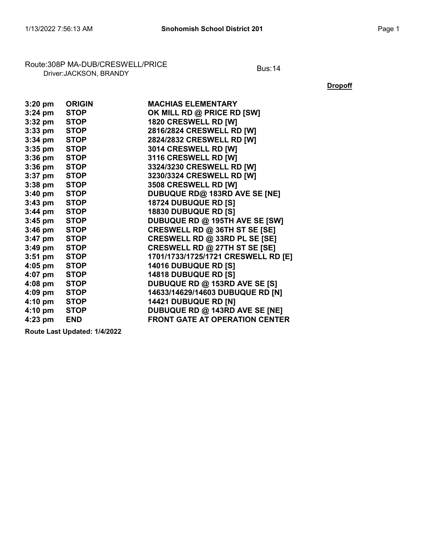## Route:308P MA-DUB/CRESWELL/PRICE<br>Driver:JACKSON, BRANDY

**Dropoff** 

| $3:20$ pm | <b>ORIGIN</b> | <b>MACHIAS ELEMENTARY</b>             |
|-----------|---------------|---------------------------------------|
| $3:24$ pm | <b>STOP</b>   | OK MILL RD @ PRICE RD [SW]            |
| $3:32$ pm | <b>STOP</b>   | 1820 CRESWELL RD [W]                  |
| $3:33$ pm | <b>STOP</b>   | 2816/2824 CRESWELL RD [W]             |
| $3:34$ pm | <b>STOP</b>   | 2824/2832 CRESWELL RD [W]             |
| $3:35$ pm | <b>STOP</b>   | 3014 CRESWELL RD [W]                  |
| $3:36$ pm | <b>STOP</b>   | 3116 CRESWELL RD [W]                  |
| $3:36$ pm | <b>STOP</b>   | 3324/3230 CRESWELL RD [W]             |
| $3:37$ pm | <b>STOP</b>   | 3230/3324 CRESWELL RD [W]             |
| $3:38$ pm | <b>STOP</b>   | 3508 CRESWELL RD [W]                  |
| $3:40$ pm | <b>STOP</b>   | DUBUQUE RD@ 183RD AVE SE [NE]         |
| $3:43$ pm | <b>STOP</b>   | 18724 DUBUQUE RD [S]                  |
| $3:44$ pm | <b>STOP</b>   | 18830 DUBUQUE RD [S]                  |
| $3:45$ pm | <b>STOP</b>   | DUBUQUE RD @ 195TH AVE SE [SW]        |
| $3:46$ pm | <b>STOP</b>   | CRESWELL RD @ 36TH ST SE [SE]         |
| $3:47$ pm | <b>STOP</b>   | CRESWELL RD @ 33RD PL SE [SE]         |
| $3:49$ pm | <b>STOP</b>   | CRESWELL RD @ 27TH ST SE [SE]         |
| $3:51$ pm | <b>STOP</b>   | 1701/1733/1725/1721 CRESWELL RD [E]   |
| $4:05$ pm | <b>STOP</b>   | 14016 DUBUQUE RD [S]                  |
| 4:07 pm   | <b>STOP</b>   | <b>14818 DUBUQUE RD [S]</b>           |
| $4:08$ pm | <b>STOP</b>   | DUBUQUE RD @ 153RD AVE SE [S]         |
| $4:09$ pm | <b>STOP</b>   | 14633/14629/14603 DUBUQUE RD [N]      |
| 4:10 pm   | <b>STOP</b>   | 14421 DUBUQUE RD [N]                  |
| 4:10 pm   | <b>STOP</b>   | DUBUQUE RD @ 143RD AVE SE [NE]        |
| 4:23 pm   | <b>END</b>    | <b>FRONT GATE AT OPERATION CENTER</b> |
|           |               |                                       |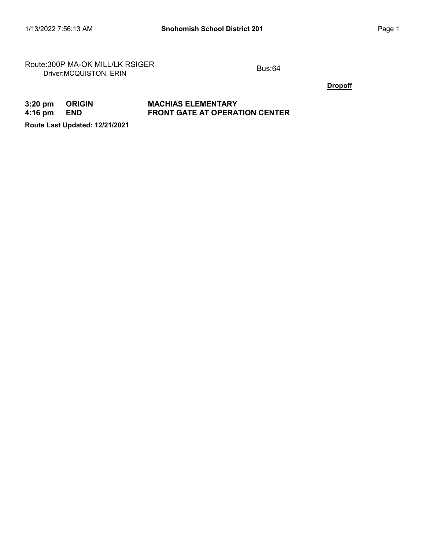Route:300P MA-OK MILL/LK RSIGER<br>Driver:MCQUISTON, ERIN

**Dropoff** 

#### 3:20 pm ORIGIN MACHIAS ELEMENTARY<br>4:16 pm END FRONT GATE AT OPERA END **FRONT GATE AT OPERATION CENTER**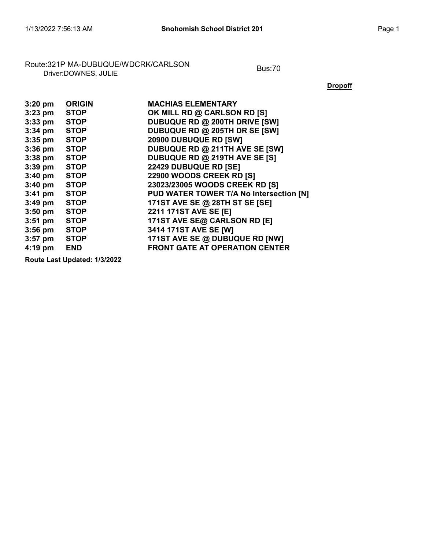# Route:321P MA-DUBUQUE/WDCRK/CARLSON<br>Driver:DOWNES, JULIE

**Dropoff** 

| $3:20$ pm         | <b>ORIGIN</b> | <b>MACHIAS ELEMENTARY</b>               |
|-------------------|---------------|-----------------------------------------|
| $3:23$ pm         | <b>STOP</b>   | OK MILL RD @ CARLSON RD [S]             |
| $3:33$ pm         | <b>STOP</b>   | DUBUQUE RD @ 200TH DRIVE [SW]           |
| $3:34$ pm         | <b>STOP</b>   | DUBUQUE RD @ 205TH DR SE [SW]           |
| $3:35$ pm         | <b>STOP</b>   | 20900 DUBUQUE RD [SW]                   |
| $3:36$ pm         | <b>STOP</b>   | DUBUQUE RD @ 211TH AVE SE [SW]          |
| $3:38$ pm         | <b>STOP</b>   | DUBUQUE RD @ 219TH AVE SE [S]           |
| $3:39$ pm         | <b>STOP</b>   | <b>22429 DUBUQUE RD [SE]</b>            |
| $3:40 \text{ pm}$ | <b>STOP</b>   | 22900 WOODS CREEK RD [S]                |
| $3:40$ pm         | <b>STOP</b>   | 23023/23005 WOODS CREEK RD [S]          |
| $3:41$ pm         | <b>STOP</b>   | PUD WATER TOWER T/A No Intersection [N] |
| $3:49$ pm         | <b>STOP</b>   | 171ST AVE SE @ 28TH ST SE [SE]          |
| $3:50$ pm         | <b>STOP</b>   | 2211 171ST AVE SE [E]                   |
| $3:51$ pm         | <b>STOP</b>   | 171ST AVE SE@ CARLSON RD [E]            |
| $3:56$ pm         | <b>STOP</b>   | 3414 171ST AVE SE [W]                   |
| $3:57$ pm         | <b>STOP</b>   | 171ST AVE SE @ DUBUQUE RD [NW]          |
| $4:19$ pm         | <b>END</b>    | <b>FRONT GATE AT OPERATION CENTER</b>   |
|                   |               |                                         |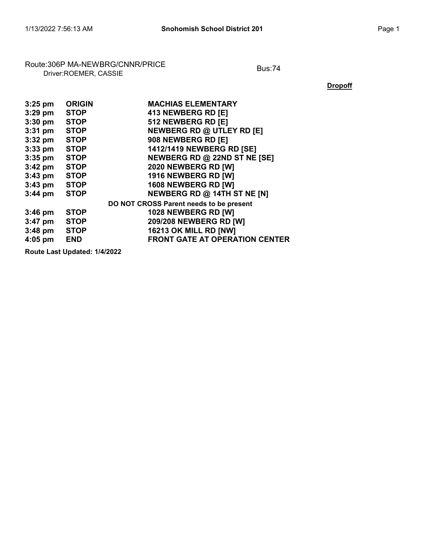# Route:306P MA-NEWBRG/CNNR/PRICE<br>Driver:ROEMER, CASSIE

**Dropoff** 

| $3:25$ pm | <b>ORIGIN</b> | <b>MACHIAS ELEMENTARY</b>               |
|-----------|---------------|-----------------------------------------|
| $3:29$ pm | <b>STOP</b>   | 413 NEWBERG RD [E]                      |
| $3:30$ pm | <b>STOP</b>   | 512 NEWBERG RD [E]                      |
| $3:31$ pm | <b>STOP</b>   | <b>NEWBERG RD @ UTLEY RD [E]</b>        |
| $3:32$ pm | <b>STOP</b>   | 908 NEWBERG RD [E]                      |
| $3:33$ pm | <b>STOP</b>   | 1412/1419 NEWBERG RD [SE]               |
| $3:35$ pm | <b>STOP</b>   | NEWBERG RD @ 22ND ST NE [SE]            |
| $3:42$ pm | <b>STOP</b>   | 2020 NEWBERG RD [W]                     |
| $3:43$ pm | <b>STOP</b>   | 1916 NEWBERG RD [W]                     |
| $3:43$ pm | <b>STOP</b>   | 1608 NEWBERG RD [W]                     |
| $3:44$ pm | <b>STOP</b>   | NEWBERG RD @ 14TH ST NE [N]             |
|           |               | DO NOT CROSS Parent needs to be present |
| $3:46$ pm | <b>STOP</b>   | 1028 NEWBERG RD [W]                     |
| $3:47$ pm | <b>STOP</b>   | 209/208 NEWBERG RD [W]                  |
| $3:48$ pm | <b>STOP</b>   | <b>16213 OK MILL RD [NW]</b>            |
| $4:05$ pm | <b>END</b>    | <b>FRONT GATE AT OPERATION CENTER</b>   |
|           |               |                                         |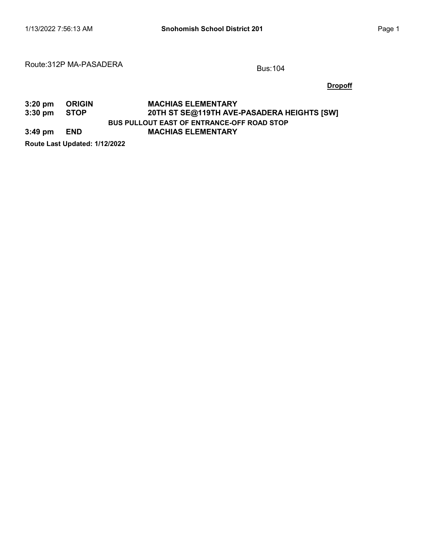#### Route:312P MA-PASADERA Bus:104

**Dropoff** 

#### 3:20 pm ORIGIN MACHIAS ELEMENTARY<br>3:30 pm STOP 20TH ST SE@119TH AVE BUS PULLOUT EAST OF ENTRANCE-OFF ROAD STOP 20TH ST SE@119TH AVE-PASADERA HEIGHTS [SW] 3:49 pm END MACHIAS ELEMENTARY